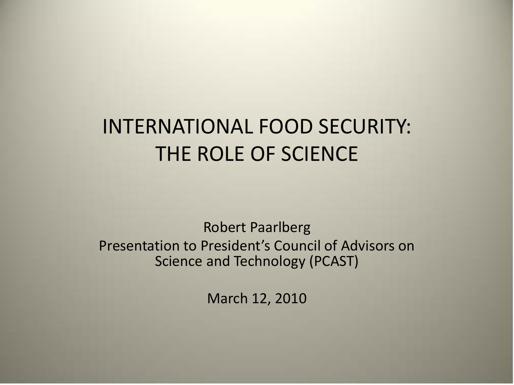### INTERNATIONAL FOOD SECURITY: THE ROLE OF SCIENCE

Robert Paarlberg Presentation to President's Council of Advisors on Science and Technology (PCAST)

March 12, 2010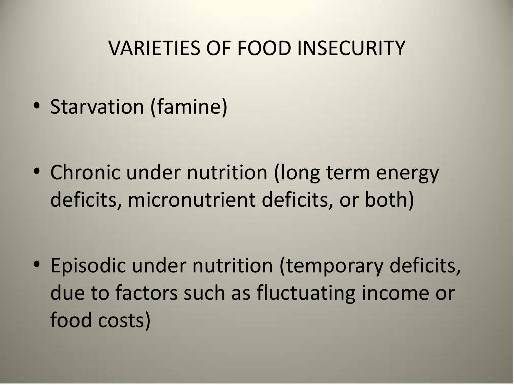#### VARIETIES OF FOOD INSECURITY

• Starvation (famine)

• Chronic under nutrition (long term energy deficits, micronutrient deficits, or both)

• Episodic under nutrition (temporary deficits, due to factors such as fluctuating income or food costs)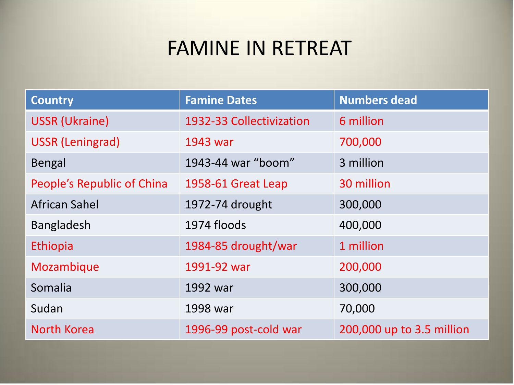#### FAMINE IN RETREAT

| <b>Country</b>             | <b>Famine Dates</b>      | <b>Numbers dead</b>       |
|----------------------------|--------------------------|---------------------------|
| <b>USSR (Ukraine)</b>      | 1932-33 Collectivization | 6 million                 |
| <b>USSR (Leningrad)</b>    | 1943 war                 | 700,000                   |
| <b>Bengal</b>              | 1943-44 war "boom"       | 3 million                 |
| People's Republic of China | 1958-61 Great Leap       | 30 million                |
| <b>African Sahel</b>       | 1972-74 drought          | 300,000                   |
| <b>Bangladesh</b>          | 1974 floods              | 400,000                   |
| Ethiopia                   | 1984-85 drought/war      | 1 million                 |
| Mozambique                 | 1991-92 war              | 200,000                   |
| Somalia                    | 1992 war                 | 300,000                   |
| Sudan                      | 1998 war                 | 70,000                    |
| North Korea                | 1996-99 post-cold war    | 200,000 up to 3.5 million |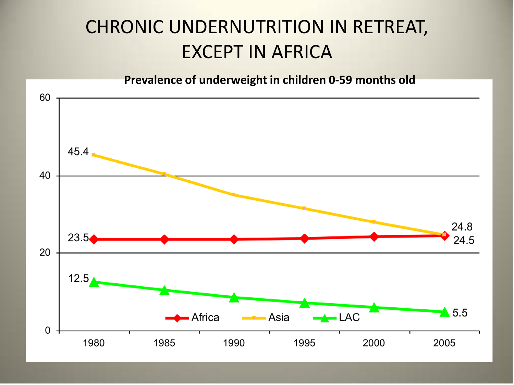#### CHRONIC UNDERNUTRITION IN RETREAT, EXCEPT IN AFRICA

**Prevalence of underweight in children 0-59 months old**

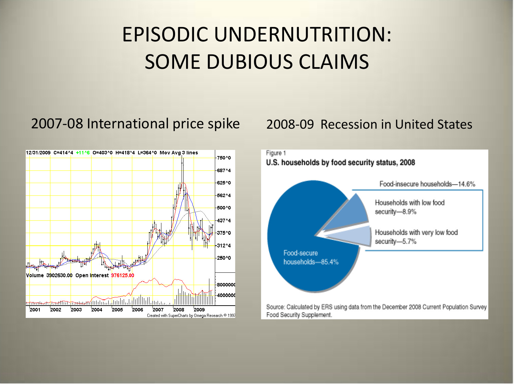# EPISODIC UNDERNUTRITION: SOME DUBIOUS CLAIMS

#### 2007-08 International price spike 2008-09 Recession in United States



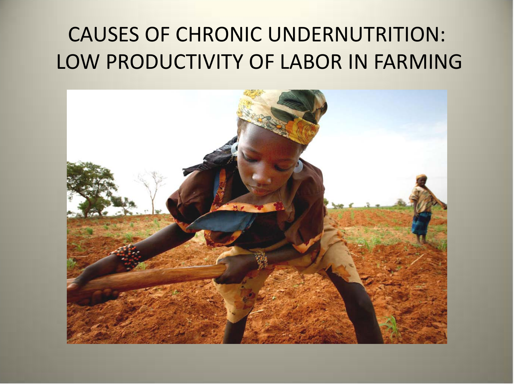## CAUSES OF CHRONIC UNDERNUTRITION: LOW PRODUCTIVITY OF LABOR IN FARMING

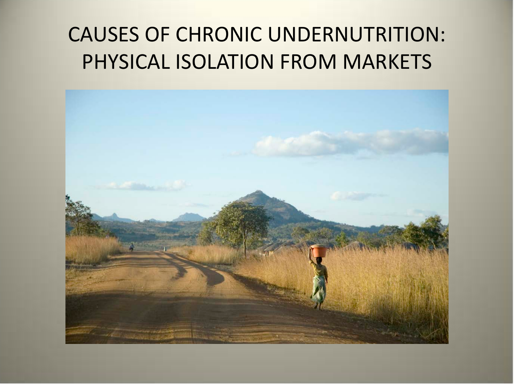# CAUSES OF CHRONIC UNDERNUTRITION: PHYSICAL ISOLATION FROM MARKETS

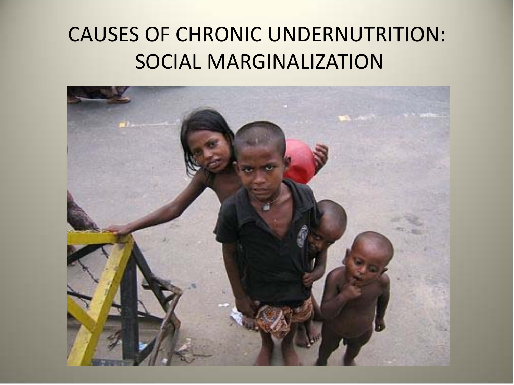## CAUSES OF CHRONIC UNDERNUTRITION: SOCIAL MARGINALIZATION

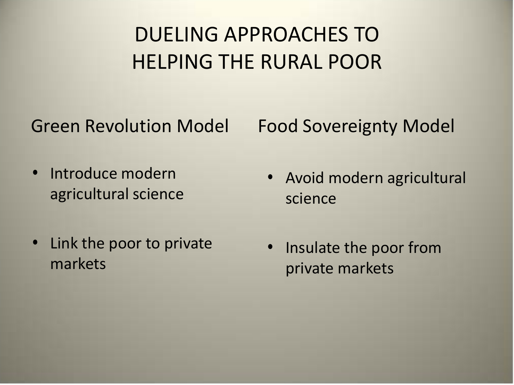# DUELING APPROACHES TO HELPING THE RURAL POOR

Green Revolution Model

Food Sovereignty Model

- Introduce modern agricultural science
- Link the poor to private markets
- Avoid modern agricultural science
- Insulate the poor from private markets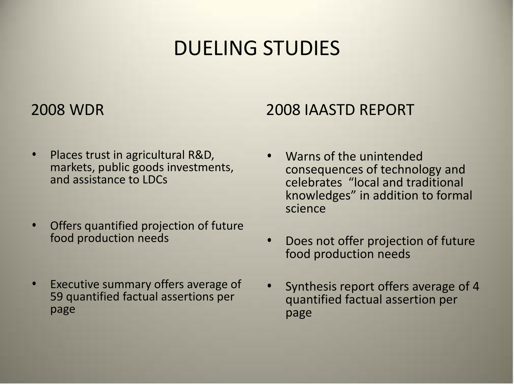#### DUELING STUDIES

#### 2008 WDR

- Places trust in agricultural R&D, markets, public goods investments, and assistance to LDCs
- Offers quantified projection of future food production needs
- Executive summary offers average of 59 quantified factual assertions per page

#### 2008 IAASTD REPORT

- Warns of the unintended consequences of technology and celebrates "local and traditional knowledges" in addition to formal science
- Does not offer projection of future food production needs
- Synthesis report offers average of 4 quantified factual assertion per page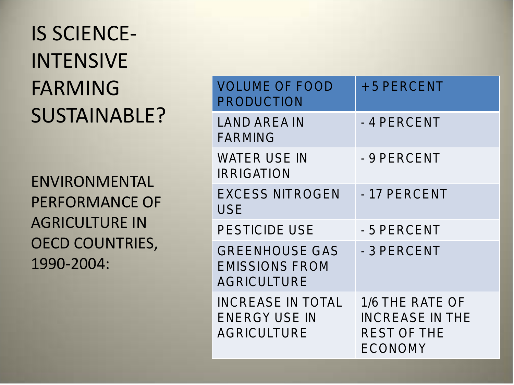# IS SCIENCE-INTENSIVE FARMING SUSTAINABLE?

ENVIRONMENTAL PERFORMANCE OF AGRICULTURE IN OECD COUNTRIES, 1990-2004:

| <b>VOLUME OF FOOD</b><br><b>PRODUCTION</b>                             | + 5 PERCENT                                                         |
|------------------------------------------------------------------------|---------------------------------------------------------------------|
| <b>LAND AREA IN</b><br><b>FARMING</b>                                  | - 4 PERCENT                                                         |
| WATER USE IN<br><b>IRRIGATION</b>                                      | - 9 PERCENT                                                         |
| <b>EXCESS NITROGEN</b><br><b>USE</b>                                   | - 17 PERCENT                                                        |
| <b>PESTICIDE USE</b>                                                   | - 5 PERCENT                                                         |
| <b>GREENHOUSE GAS</b><br><b>EMISSIONS FROM</b><br><b>AGRICULTURE</b>   | - 3 PERCENT                                                         |
| <b>INCREASE IN TOTAL</b><br><b>ENERGY USE IN</b><br><b>AGRICULTURE</b> | 1/6 THE RATE OF<br><b>INCREASE IN THE</b><br>REST OF THE<br>ECONOMY |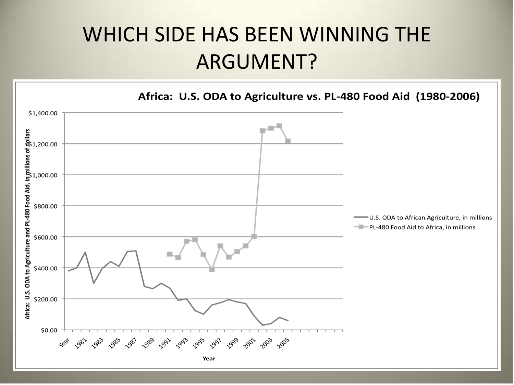#### WHICH SIDE HAS BEEN WINNING THE ARGUMENT?

Africa: U.S. ODA to Agriculture vs. PL-480 Food Aid (1980-2006)

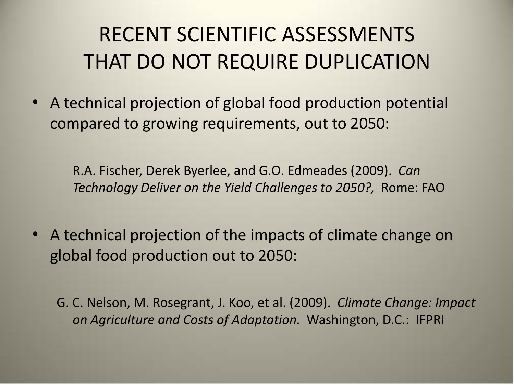# RECENT SCIENTIFIC ASSESSMENTS THAT DO NOT REQUIRE DUPLICATION

• A technical projection of global food production potential compared to growing requirements, out to 2050:

R.A. Fischer, Derek Byerlee, and G.O. Edmeades (2009). *Can Technology Deliver on the Yield Challenges to 2050?,* Rome: FAO

• A technical projection of the impacts of climate change on global food production out to 2050:

G. C. Nelson, M. Rosegrant, J. Koo, et al. (2009). *Climate Change: Impact on Agriculture and Costs of Adaptation.* Washington, D.C.: IFPRI